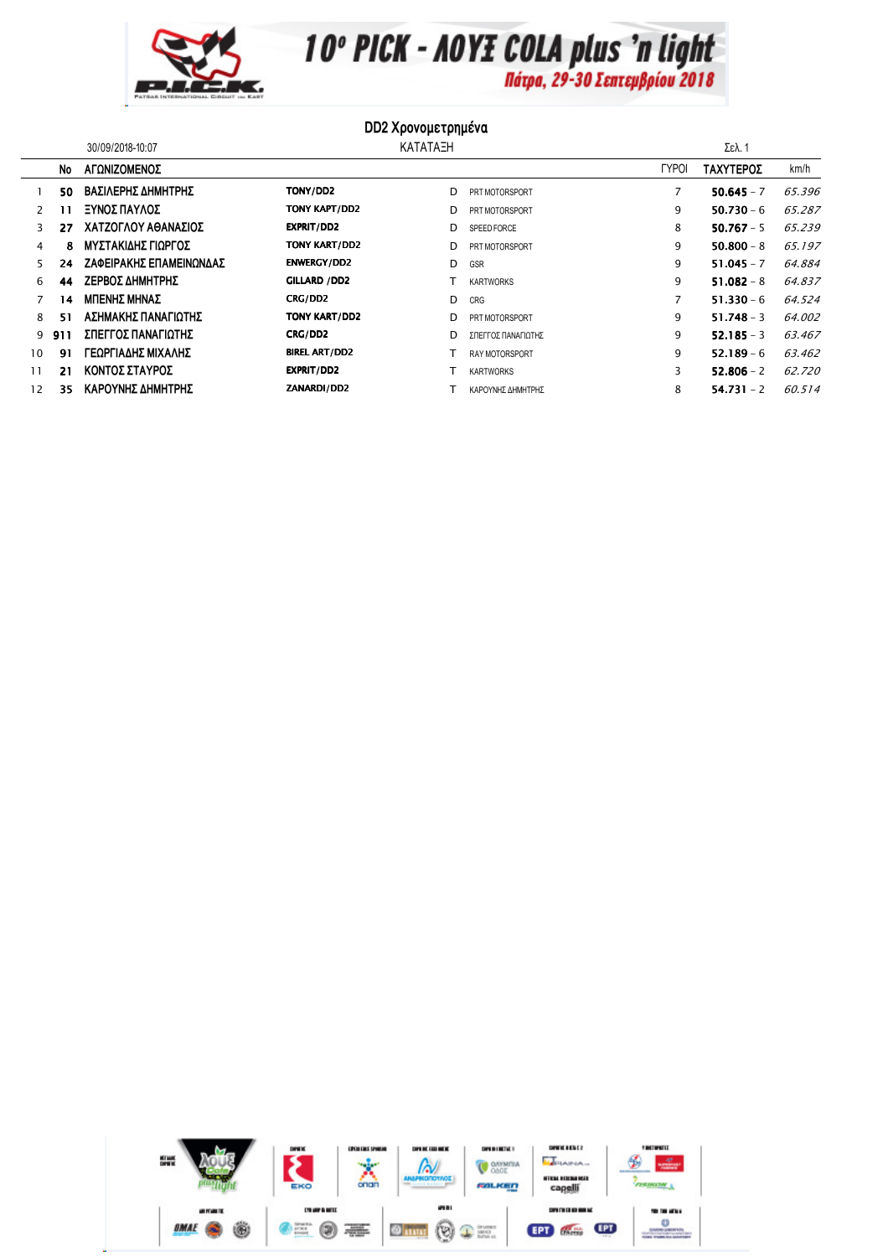

10° PICK - AOYE COLA plus 'n light

## **DD2 Χρονομετρημένα**

|              |     | 30/09/2018-10:07        |                      | KATATAEH |                       |              | Σελ. 1       |        |  |  |
|--------------|-----|-------------------------|----------------------|----------|-----------------------|--------------|--------------|--------|--|--|
|              | No  | ΑΓΩΝΙΖΟΜΕΝΟΣ            |                      |          |                       | <b>TYPOI</b> | ΤΑΧΥΤΕΡΟΣ    | km/h   |  |  |
|              | 50  | ΒΑΣΙΛΕΡΗΣ ΔΗΜΗΤΡΗΣ      | TONY/DD2             | D        | PRT MOTORSPORT        |              | $50.645 - 7$ | 65.396 |  |  |
| $\mathbf{2}$ |     | ΞΥΝΟΣ ΠΑΥΛΟΣ            | TONY KAPT/DD2        | D        | PRT MOTORSPORT        | 9            | $50.730 - 6$ | 65.287 |  |  |
| 3            | 27  | ΧΑΤΖΟΓΛΟΥ ΑΘΑΝΑΣΙΟΣ     | EXPRIT/DD2           | D        | SPEED FORCE           | 8            | $50.767 - 5$ | 65.239 |  |  |
| 4            | 8   | ΜΥΣΤΑΚΙΔΗΣ ΓΙΩΡΓΟΣ      | <b>TONY KART/DD2</b> | D        | PRT MOTORSPORT        | 9            | $50.800 - 8$ | 65.197 |  |  |
| 5.           | 24  | ΖΑΦΕΙΡΑΚΗΣ ΕΠΑΜΕΙΝΩΝΔΑΣ | <b>ENWERGY/DD2</b>   | D        | GSR                   | 9            | $51.045 - 7$ | 64.884 |  |  |
| 6            | 44  | ΖΕΡΒΟΣ ΔΗΜΗΤΡΗΣ         | GILLARD / DD2        |          | <b>KARTWORKS</b>      | 9            | $51.082 - 8$ | 64.837 |  |  |
|              | 14  | ΜΠΕΝΗΣ ΜΗΝΑΣ            | CRG/DD2              | D        | CRG                   | 7            | $51.330 - 6$ | 64.524 |  |  |
| 8            | 51  | ΑΣΗΜΑΚΗΣ ΠΑΝΑΓΙΩΤΗΣ     | <b>TONY KART/DD2</b> | D        | PRT MOTORSPORT        | 9            | $51.748 - 3$ | 64.002 |  |  |
| 9            | 911 | ΣΠΕΓΓΟΣ ΠΑΝΑΓΙΩΤΗΣ      | CRG/DD2              | D        | ΣΠΕΓΓΟΣ ΠΑΝΑΓΙΩΤΗΣ    | 9            | $52.185 - 3$ | 63.467 |  |  |
| 10           | 91  | ΓΕΩΡΓΙΑΔΗΣ ΜΙΧΑΛΗΣ      | <b>BIREL ART/DD2</b> |          | <b>RAY MOTORSPORT</b> | 9            | $52.189 - 6$ | 63.462 |  |  |
| 11           | 21  | ΚΟΝΤΟΣ ΣΤΑΥΡΟΣ          | <b>EXPRIT/DD2</b>    |          | <b>KARTWORKS</b>      | 3            | $52.806 - 2$ | 62.720 |  |  |
| 12           | 35  | ΚΑΡΟΥΝΗΣ ΔΗΜΗΤΡΗΣ       | ZANARDI/DD2          |          | ΚΑΡΟΥΝΗΣ ΔΗΜΗΤΡΗΣ     | 8            | $54.731 - 2$ | 60.514 |  |  |